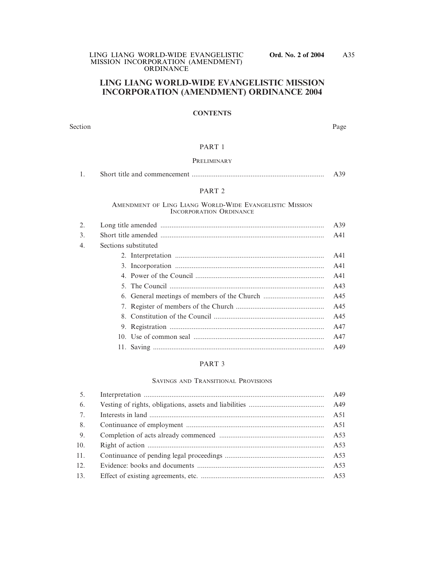#### **LING LIANG WORLD-WIDE EVANGELISTIC MISSION INCORPORATION (AMENDMENT) ORDINANCE 2004**

#### **CONTENTS**

Section Page

#### PART 1

#### **PRELIMINARY**

|--|--|--|

#### PART 2

#### AMENDMENT OF LING LIANG WORLD-WIDE EVANGELISTIC MISSION INCORPORATION ORDINANCE

| 2. |                      | A39 |
|----|----------------------|-----|
| 3. |                      | A41 |
| 4. | Sections substituted |     |
|    |                      | A41 |
|    |                      | A41 |
|    |                      | A41 |
|    |                      | A43 |
|    |                      | A45 |
|    |                      | A45 |
|    |                      | A45 |
|    |                      | A47 |
|    |                      | A47 |
|    |                      | A49 |

#### PART 3

#### SAVINGS AND TRANSITIONAL PROVISIONS

| 5.  | A49 |
|-----|-----|
| 6.  |     |
| 7.  | A51 |
| 8.  | A51 |
| 9.  |     |
| 10. | A53 |
| 11. |     |
| 12. | A53 |
| 13. |     |
|     |     |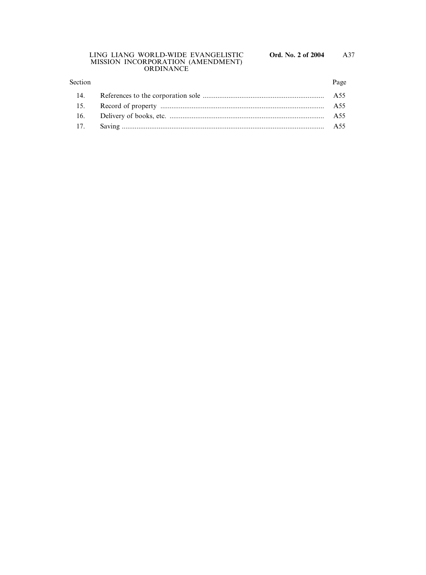#### LING LIANG WORLD-WIDE EVANGELISTIC **Ord. No. 2 of 2004** MISSION INCORPORATION (AMENDMENT) ORDINANCE

#### Section Page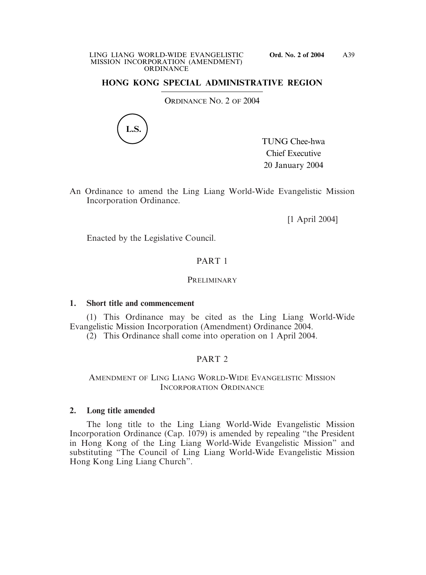# **HONG KONG SPECIAL ADMINISTRATIVE REGION**

ORDINANCE NO. 2 OF 2004



TUNG Chee-hwa Chief Executive 20 January 2004

An Ordinance to amend the Ling Liang World-Wide Evangelistic Mission Incorporation Ordinance.

[1 April 2004]

Enacted by the Legislative Council.

# PART 1

#### **PRELIMINARY**

#### **1. Short title and commencement**

(1) This Ordinance may be cited as the Ling Liang World-Wide Evangelistic Mission Incorporation (Amendment) Ordinance 2004.

(2) This Ordinance shall come into operation on 1 April 2004.

## PART 2

#### AMENDMENT OF LING LIANG WORLD-WIDE EVANGELISTIC MISSION INCORPORATION ORDINANCE

#### **2. Long title amended**

The long title to the Ling Liang World-Wide Evangelistic Mission Incorporation Ordinance (Cap. 1079) is amended by repealing "the President in Hong Kong of the Ling Liang World-Wide Evangelistic Mission" and substituting "The Council of Ling Liang World-Wide Evangelistic Mission Hong Kong Ling Liang Church".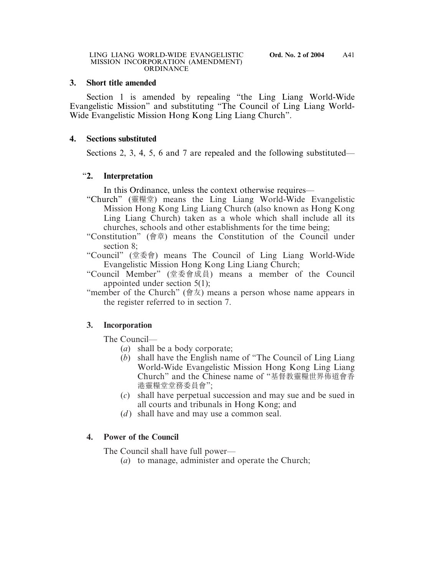#### **3. Short title amended**

Section 1 is amended by repealing "the Ling Liang World-Wide Evangelistic Mission" and substituting "The Council of Ling Liang World-Wide Evangelistic Mission Hong Kong Ling Liang Church".

# **4. Sections substituted**

Sections 2, 3, 4, 5, 6 and 7 are repealed and the following substituted—

# "**2. Interpretation**

In this Ordinance, unless the context otherwise requires—

- "Church" (靈糧堂) means the Ling Liang World-Wide Evangelistic Mission Hong Kong Ling Liang Church (also known as Hong Kong Ling Liang Church) taken as a whole which shall include all its churches, schools and other establishments for the time being;
- "Constitution" (會章) means the Constitution of the Council under section 8;
- "Council" (堂委會) means The Council of Ling Liang World-Wide Evangelistic Mission Hong Kong Ling Liang Church;
- "Council Member" (堂委會成員) means a member of the Council appointed under section 5(1);
- "member of the Church" (會友) means a person whose name appears in the register referred to in section 7.

# **3. Incorporation**

The Council—

- (*a*) shall be a body corporate;
- (*b*) shall have the English name of "The Council of Ling Liang World-Wide Evangelistic Mission Hong Kong Ling Liang Church" and the Chinese name of "基督桝靈糧世界佈道會香 港靈糧堂堂務委員會";
- (*c*) shall have perpetual succession and may sue and be sued in all courts and tribunals in Hong Kong; and
- (*d*) shall have and may use a common seal.

# **4. Power of the Council**

The Council shall have full power—

(*a*) to manage, administer and operate the Church;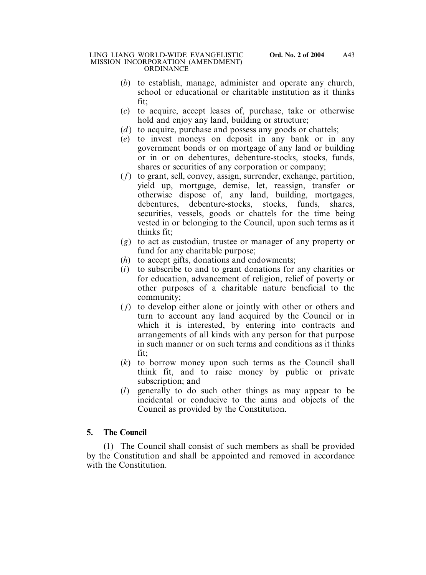- (*b*) to establish, manage, administer and operate any church, school or educational or charitable institution as it thinks fit;
- (*c*) to acquire, accept leases of, purchase, take or otherwise hold and enjoy any land, building or structure;
- (*d*) to acquire, purchase and possess any goods or chattels;
- (*e*) to invest moneys on deposit in any bank or in any government bonds or on mortgage of any land or building or in or on debentures, debenture-stocks, stocks, funds, shares or securities of any corporation or company;
- (*f*) to grant, sell, convey, assign, surrender, exchange, partition, yield up, mortgage, demise, let, reassign, transfer or otherwise dispose of, any land, building, mortgages, debentures, debenture-stocks, stocks, funds, shares, securities, vessels, goods or chattels for the time being vested in or belonging to the Council, upon such terms as it thinks fit;
- (*g*) to act as custodian, trustee or manager of any property or fund for any charitable purpose;
- (*h*) to accept gifts, donations and endowments;
- (*i*) to subscribe to and to grant donations for any charities or for education, advancement of religion, relief of poverty or other purposes of a charitable nature beneficial to the community;
- ( *j*) to develop either alone or jointly with other or others and turn to account any land acquired by the Council or in which it is interested, by entering into contracts and arrangements of all kinds with any person for that purpose in such manner or on such terms and conditions as it thinks fit;
- (*k*) to borrow money upon such terms as the Council shall think fit, and to raise money by public or private subscription; and
- (*l*) generally to do such other things as may appear to be incidental or conducive to the aims and objects of the Council as provided by the Constitution.

# **5. The Council**

(1) The Council shall consist of such members as shall be provided by the Constitution and shall be appointed and removed in accordance with the Constitution.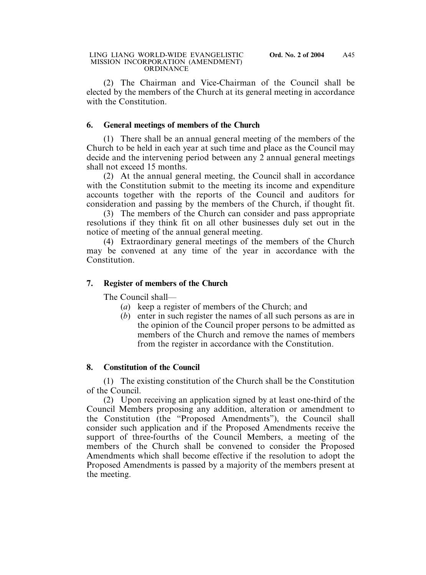(2) The Chairman and Vice-Chairman of the Council shall be elected by the members of the Church at its general meeting in accordance with the Constitution.

## **6. General meetings of members of the Church**

(1) There shall be an annual general meeting of the members of the Church to be held in each year at such time and place as the Council may decide and the intervening period between any 2 annual general meetings shall not exceed 15 months.

(2) At the annual general meeting, the Council shall in accordance with the Constitution submit to the meeting its income and expenditure accounts together with the reports of the Council and auditors for consideration and passing by the members of the Church, if thought fit.

(3) The members of the Church can consider and pass appropriate resolutions if they think fit on all other businesses duly set out in the notice of meeting of the annual general meeting.

(4) Extraordinary general meetings of the members of the Church may be convened at any time of the year in accordance with the Constitution.

## **7. Register of members of the Church**

The Council shall—

- (*a*) keep a register of members of the Church; and
- (*b*) enter in such register the names of all such persons as are in the opinion of the Council proper persons to be admitted as members of the Church and remove the names of members from the register in accordance with the Constitution.

## **8. Constitution of the Council**

(1) The existing constitution of the Church shall be the Constitution of the Council.

(2) Upon receiving an application signed by at least one-third of the Council Members proposing any addition, alteration or amendment to the Constitution (the "Proposed Amendments"), the Council shall consider such application and if the Proposed Amendments receive the support of three-fourths of the Council Members, a meeting of the members of the Church shall be convened to consider the Proposed Amendments which shall become effective if the resolution to adopt the Proposed Amendments is passed by a majority of the members present at the meeting.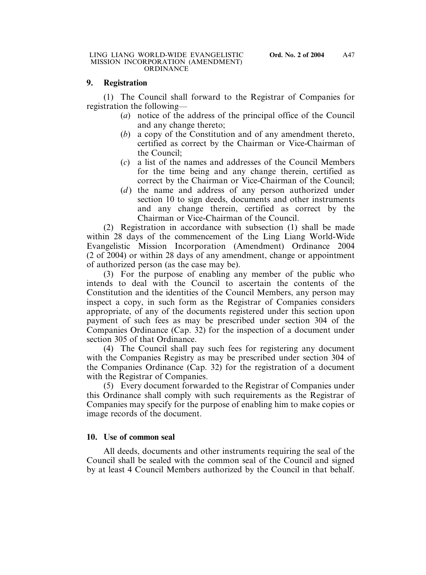## **9. Registration**

(1) The Council shall forward to the Registrar of Companies for registration the following—

- (*a*) notice of the address of the principal office of the Council and any change thereto;
- (*b*) a copy of the Constitution and of any amendment thereto, certified as correct by the Chairman or Vice-Chairman of the Council;
- (*c*) a list of the names and addresses of the Council Members for the time being and any change therein, certified as correct by the Chairman or Vice-Chairman of the Council;
- (*d*) the name and address of any person authorized under section 10 to sign deeds, documents and other instruments and any change therein, certified as correct by the Chairman or Vice-Chairman of the Council.

(2) Registration in accordance with subsection (1) shall be made within 28 days of the commencement of the Ling Liang World-Wide Evangelistic Mission Incorporation (Amendment) Ordinance 2004 (2 of 2004) or within 28 days of any amendment, change or appointment of authorized person (as the case may be).

(3) For the purpose of enabling any member of the public who intends to deal with the Council to ascertain the contents of the Constitution and the identities of the Council Members, any person may inspect a copy, in such form as the Registrar of Companies considers appropriate, of any of the documents registered under this section upon payment of such fees as may be prescribed under section 304 of the Companies Ordinance (Cap. 32) for the inspection of a document under section 305 of that Ordinance.

(4) The Council shall pay such fees for registering any document with the Companies Registry as may be prescribed under section 304 of the Companies Ordinance (Cap. 32) for the registration of a document with the Registrar of Companies.

(5) Every document forwarded to the Registrar of Companies under this Ordinance shall comply with such requirements as the Registrar of Companies may specify for the purpose of enabling him to make copies or image records of the document.

# **10. Use of common seal**

All deeds, documents and other instruments requiring the seal of the Council shall be sealed with the common seal of the Council and signed by at least 4 Council Members authorized by the Council in that behalf.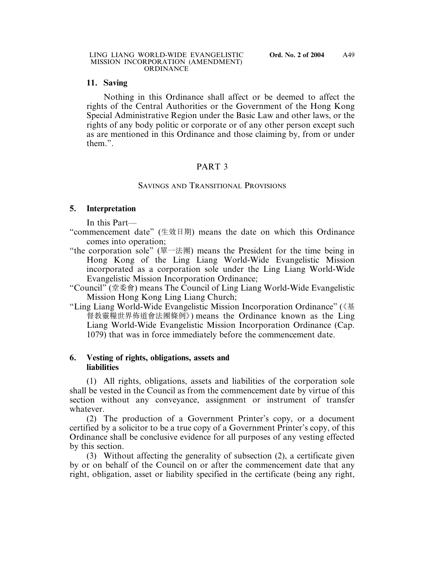# **11. Saving**

Nothing in this Ordinance shall affect or be deemed to affect the rights of the Central Authorities or the Government of the Hong Kong Special Administrative Region under the Basic Law and other laws, or the rights of any body politic or corporate or of any other person except such as are mentioned in this Ordinance and those claiming by, from or under them"

# PART 3

## SAVINGS AND TRANSITIONAL PROVISIONS

## **5. Interpretation**

In this Part—

- "commencement date" (生效日期) means the date on which this Ordinance comes into operation;
- "the corporation sole" (單一法團) means the President for the time being in Hong Kong of the Ling Liang World-Wide Evangelistic Mission incorporated as a corporation sole under the Ling Liang World-Wide Evangelistic Mission Incorporation Ordinance;
- "Council" (堂委會) means The Council of Ling Liang World-Wide Evangelistic Mission Hong Kong Ling Liang Church;
- "Ling Liang World-Wide Evangelistic Mission Incorporation Ordinance" (《基 督桝靈糧世界佈道會法團條例》) means the Ordinance known as the Ling Liang World-Wide Evangelistic Mission Incorporation Ordinance (Cap. 1079) that was in force immediately before the commencement date.

### **6. Vesting of rights, obligations, assets and liabilities**

(1) All rights, obligations, assets and liabilities of the corporation sole shall be vested in the Council as from the commencement date by virtue of this section without any conveyance, assignment or instrument of transfer whatever.

(2) The production of a Government Printer's copy, or a document certified by a solicitor to be a true copy of a Government Printer's copy, of this Ordinance shall be conclusive evidence for all purposes of any vesting effected by this section.

(3) Without affecting the generality of subsection (2), a certificate given by or on behalf of the Council on or after the commencement date that any right, obligation, asset or liability specified in the certificate (being any right,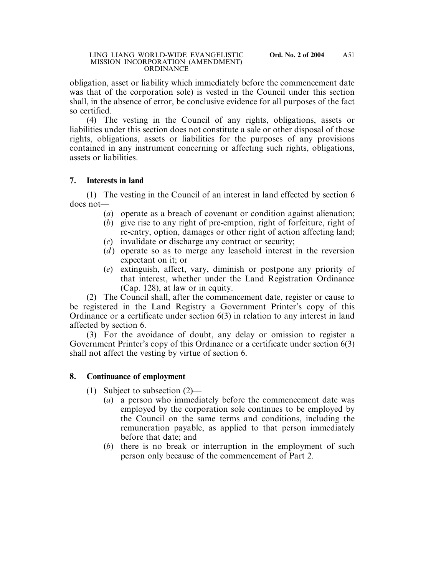obligation, asset or liability which immediately before the commencement date was that of the corporation sole) is vested in the Council under this section shall, in the absence of error, be conclusive evidence for all purposes of the fact so certified.

(4) The vesting in the Council of any rights, obligations, assets or liabilities under this section does not constitute a sale or other disposal of those rights, obligations, assets or liabilities for the purposes of any provisions contained in any instrument concerning or affecting such rights, obligations, assets or liabilities.

### **7. Interests in land**

(1) The vesting in the Council of an interest in land effected by section 6 does not—

- (*a*) operate as a breach of covenant or condition against alienation;
- (*b*) give rise to any right of pre-emption, right of forfeiture, right of re-entry, option, damages or other right of action affecting land;
- (*c*) invalidate or discharge any contract or security;
- (*d*) operate so as to merge any leasehold interest in the reversion expectant on it; or
- (*e*) extinguish, affect, vary, diminish or postpone any priority of that interest, whether under the Land Registration Ordinance (Cap. 128), at law or in equity.

(2) The Council shall, after the commencement date, register or cause to be registered in the Land Registry a Government Printer's copy of this Ordinance or a certificate under section 6(3) in relation to any interest in land affected by section 6.

(3) For the avoidance of doubt, any delay or omission to register a Government Printer's copy of this Ordinance or a certificate under section 6(3) shall not affect the vesting by virtue of section 6.

## **8. Continuance of employment**

- (1) Subject to subsection (2)—
	- (*a*) a person who immediately before the commencement date was employed by the corporation sole continues to be employed by the Council on the same terms and conditions, including the remuneration payable, as applied to that person immediately before that date; and
	- (*b*) there is no break or interruption in the employment of such person only because of the commencement of Part 2.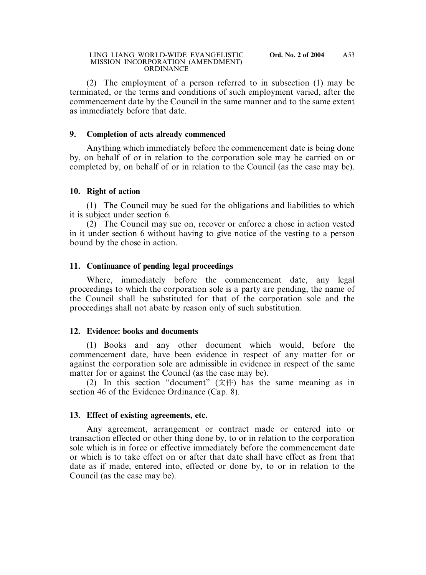#### LING LIANG WORLD-WIDE EVANGELISTIC **Ord. No. 2 of 2004** MISSION INCORPORATION (AMENDMENT) **ORDINANCE**

(2) The employment of a person referred to in subsection (1) may be terminated, or the terms and conditions of such employment varied, after the commencement date by the Council in the same manner and to the same extent as immediately before that date.

# **9. Completion of acts already commenced**

Anything which immediately before the commencement date is being done by, on behalf of or in relation to the corporation sole may be carried on or completed by, on behalf of or in relation to the Council (as the case may be).

# **10. Right of action**

(1) The Council may be sued for the obligations and liabilities to which it is subject under section 6.

(2) The Council may sue on, recover or enforce a chose in action vested in it under section 6 without having to give notice of the vesting to a person bound by the chose in action.

# **11. Continuance of pending legal proceedings**

Where, immediately before the commencement date, any legal proceedings to which the corporation sole is a party are pending, the name of the Council shall be substituted for that of the corporation sole and the proceedings shall not abate by reason only of such substitution.

## **12. Evidence: books and documents**

(1) Books and any other document which would, before the commencement date, have been evidence in respect of any matter for or against the corporation sole are admissible in evidence in respect of the same matter for or against the Council (as the case may be).

(2) In this section "document" (文件) has the same meaning as in section 46 of the Evidence Ordinance (Cap. 8).

# **13. Effect of existing agreements, etc.**

Any agreement, arrangement or contract made or entered into or transaction effected or other thing done by, to or in relation to the corporation sole which is in force or effective immediately before the commencement date or which is to take effect on or after that date shall have effect as from that date as if made, entered into, effected or done by, to or in relation to the Council (as the case may be).